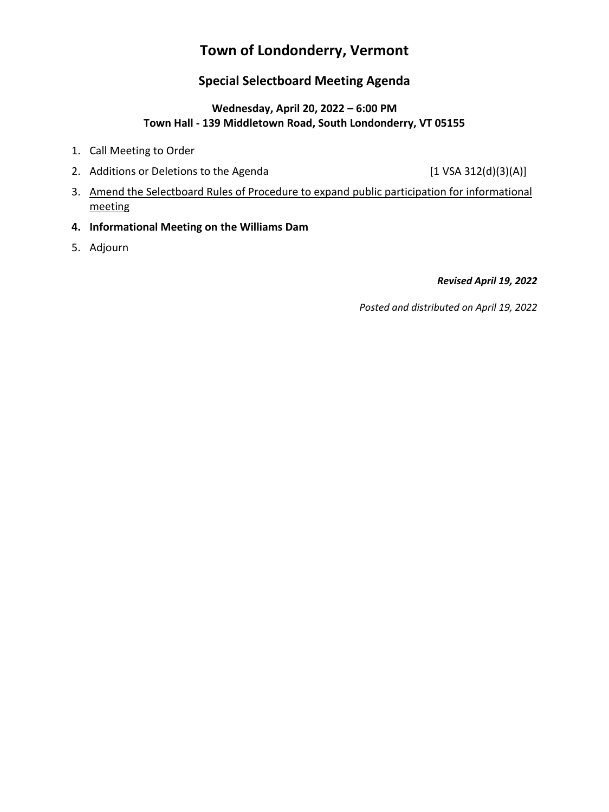# **Town of Londonderry, Vermont**

## **Special Selectboard Meeting Agenda**

## **Wednesday, April 20, 2022 – 6:00 PM Town Hall - 139 Middletown Road, South Londonderry, VT 05155**

- 1. Call Meeting to Order
- 2. Additions or Deletions to the Agenda [1 VSA 312(d)(3)(A)]

- 3. Amend the Selectboard Rules of Procedure to expand public participation for informational meeting
- **4. Informational Meeting on the Williams Dam**
- 5. Adjourn

## *Revised April 19, 2022*

*Posted and distributed on April 19, 2022*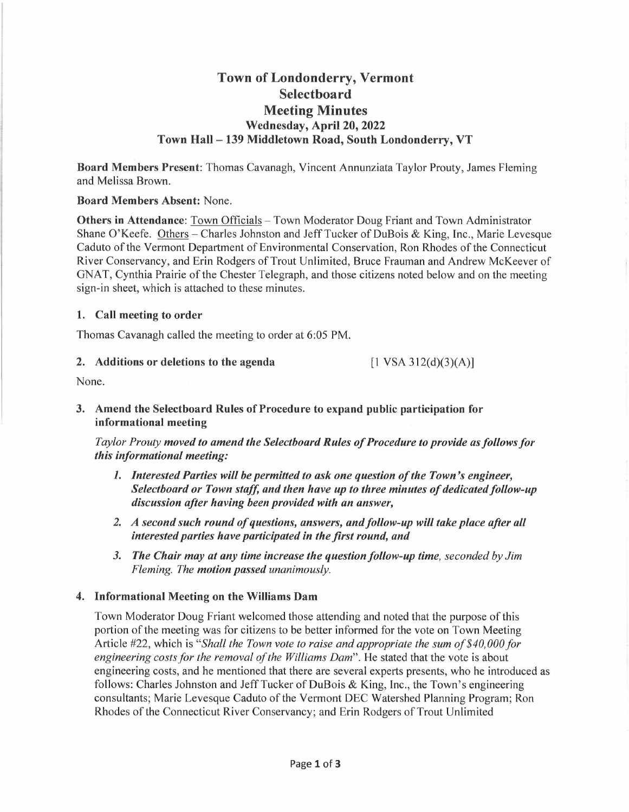## **Town of Londonderry, Vermont Selectboard Meeting Minutes Wednesday, April 20, 2022 Town Hall-139 Middletown Road, South Londonderry, VT**

**Board Members Present:** Thomas Cavanagh, Vincent Annunziata Taylor Prouty, James Fleming and Melissa Brown.

#### **Board Members Absent:** None.

**Others in Attendance:** Town Officials - Town Moderator Doug Friant and Town Administrator Shane O'Keefe. Others – Charles Johnston and Jeff Tucker of DuBois & King, Inc., Marie Levesque Caduto of the Vermont Department of Environmental Conservation, Ron Rhodes of the Connecticut River Conservancy, and Erin Rodgers of Trout Unlimited, Bruce Frauman and Andrew McKeever of GNAT, Cynthia Prairie of the Chester Telegraph, and those citizens noted below and on the meeting sign-in sheet, which is attached to these minutes.

#### **1. Call meeting to order**

Thomas Cavanagh called the meeting to order at 6:05 **PM.** 

#### **2. Additions or deletions to the agenda**

 $[1 \text{ VSA } 312 \text{ (d)} \text{ (3)} \text{ (A)}]$ 

None.

**3. Amend the Selectboard Rules of Procedure to expand public participation for informational meeting** 

*Taylor Prouty moved to amend the Selectboard Rules of Procedure to provide as follows for this informational meeting:* 

- *1. Interested Parties will be permitted to ask one question of the Town's engineer, Selectboard or Town staff, and then have up to three minutes of dedicated follow-up discussion after having been provided with an answer,*
- *2. A second such round of questions, answers, and follow-up will take place after all interested parties have participated in the first round, and*
- *3. The Chair may at any time increase the question follow-up time, seconded by Jim Fleming. The motion passed unanimously.*

#### **4. Informational Meeting on the Williams Dam**

Town Moderator Doug Friant welcomed those attending and noted that the purpose of this portion of the meeting was for citizens to be better informed for the vote on Town Meeting Article #22, which is *"Shall the Town vote to raise and appropriate the sum of \$40,000 for*  engineering costs for the removal of the Williams Dam". He stated that the vote is about engineering costs, and he mentioned that there are several experts presents, who he introduced as follows: Charles Johnston and Jeff Tucker of DuBois & King, Inc., the Town's engineering consultants; Marie Levesque Caduto of the Vermont DEC Watershed Planning Program; Ron Rhodes of the Connecticut River Conservancy; and Erin Rodgers of Trout Unlimited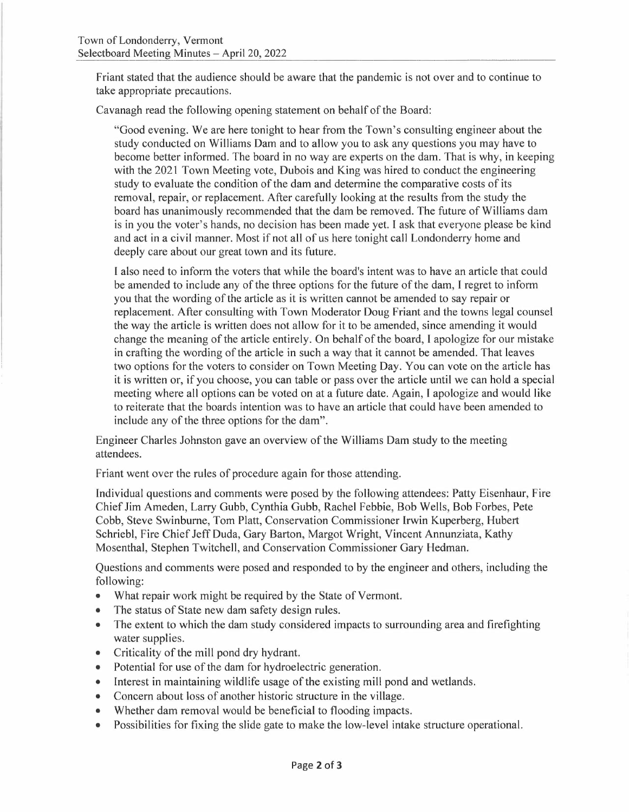Friant stated that the audience should be aware that the pandemic is not over and to continue to take appropriate precautions.

Cavanagh read the following opening statement on behalf of the Board:

"Good evening. We are here tonight to hear from the Town's consulting engineer about the study conducted on Williams Dam and to allow you to ask any questions you may have to become better informed. The board in no way are experts on the dam. That is why, in keeping with the 2021 Town Meeting vote, Dubois and King was hired to conduct the engineering study to evaluate the condition of the dam and determine the comparative costs of its removal, repair, or replacement. After carefully looking at the results from the study the board has unanimously recommended that the dam be removed. The future of Williams dam is in you the voter's hands, no decision has been made yet. I ask that everyone please be kind and act in a civil manner. Most if not all of us here tonight call Londonderry home and deeply care about our great town and its future.

I also need to inform the voters that while the board's intent was to have an article that could be amended to include any of the three options for the future of the dam, I regret to inform you that the wording of the article as it is written cannot be amended to say repair or replacement. After consulting with Town Moderator Doug Friant and the towns legal counsel the way the article is written does not allow for it to be amended, since amending it would change the meaning of the article entirely. On behalf of the board, I apologize for our mistake in crafting the wording of the article in such a way that it cannot be amended. That leaves two options for the voters to consider on Town Meeting Day. You can vote on the article has it is written or, if you choose, you can table or pass over the article until we can hold a special meeting where all options can be voted on at a future date. Again, I apologize and would like to reiterate that the boards intention was to have an article that could have been amended to include any of the three options for the dam".

Engineer Charles Johnston gave an overview of the Williams Dam study to the meeting attendees.

Friant went over the rules of procedure again for those attending.

Individual questions and comments were posed by the following attendees: Patty Eisenhaur, Fire Chief Jim Ameden, Larry Gubb, Cynthia Gubb, Rachel Febbie, Bob Wells, Bob Forbes, Pete Cobb, Steve Swinburne, Tom Platt, Conservation Commissioner Irwin Kuperberg, Hubert Schriebl, Fire Chief Jeff Duda, Gary Barton, Margot Wright, Vincent Annunziata, Kathy Mosenthal, Stephen Twitchell, and Conservation Commissioner Gary Hedman.

Questions and comments were posed and responded to by the engineer and others, including the following:

- What repair work might be required by the State of Vermont.
- The status of State new dam safety design rules.
- The extent to which the dam study considered impacts to surrounding area and firefighting water supplies.
- Criticality of the mill pond dry hydrant.
- Potential for use of the dam for hydroelectric generation.
- Interest in maintaining wildlife usage of the existing mill pond and wetlands.
- Concern about loss of another historic structure in the village .
- Whether dam removal would be beneficial to flooding impacts.
- Possibilities for fixing the slide gate to make the low-level intake structure operational.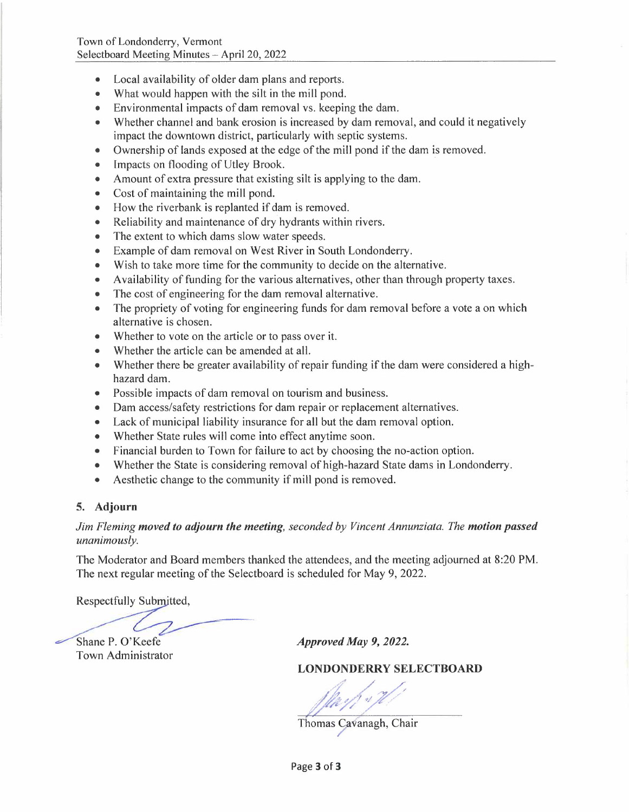- Local availability of older dam plans and reports.
- What would happen with the silt in the mill pond.
- Environmental impacts of dam removal vs. keeping the dam.
- Whether channel and bank erosion is increased by dam removal, and could it negatively impact the downtown district, particularly with septic systems.
- Ownership of lands exposed at the edge of the mill pond if the dam is removed.
- Impacts on flooding of Utley Brook.
- Amount of extra pressure that existing silt is applying to the dam.
- Cost of maintaining the mill pond.
- How the riverbank is replanted if dam is removed.
- Reliability and maintenance of dry hydrants within rivers.
- The extent to which dams slow water speeds.
- Example of dam removal on West River in South Londonderry.
- Wish to take more time for the community to decide on the alternative.
- Availability of funding for the various alternatives, other than through property taxes.
- The cost of engineering for the dam removal alternative.
- The propriety of voting for engineering funds for dam removal before a vote a on which alternative is chosen.
- Whether to vote on the article or to pass over it.
- Whether the article can be amended at all.
- Whether there be greater availability of repair funding if the dam were considered a highhazard dam.
- Possible impacts of dam removal on tourism and business.
- Dam access/safety restrictions for dam repair or replacement alternatives.
- Lack of municipal liability insurance for all but the dam removal option.
- Whether State rules will come into effect anytime soon.
- Financial burden to Town for failure to act by choosing the no-action option.
- Whether the State is considering removal of high-hazard State dams in Londonderry.
- Aesthetic change to the community if mill pond is removed.

### **5. Adjourn**

### *Jim Fleming moved to adjourn the meeting, seconded by Vincent Annunziata. The motion passed unanimously.*

The Moderator and Board members thanked the attendees, and the meeting adjourned at 8:20 PM. The next regular meeting of the Selectboard is scheduled for May 9, 2022.

Respectfully Submitted,

Shane P. O'Keefe

Town Administrator

*Approved May 9, 2022.* 

## **LONDONDERRYSELECTBOARD**

*;f/y;f./~* 

Thomas Cavanagh, Chair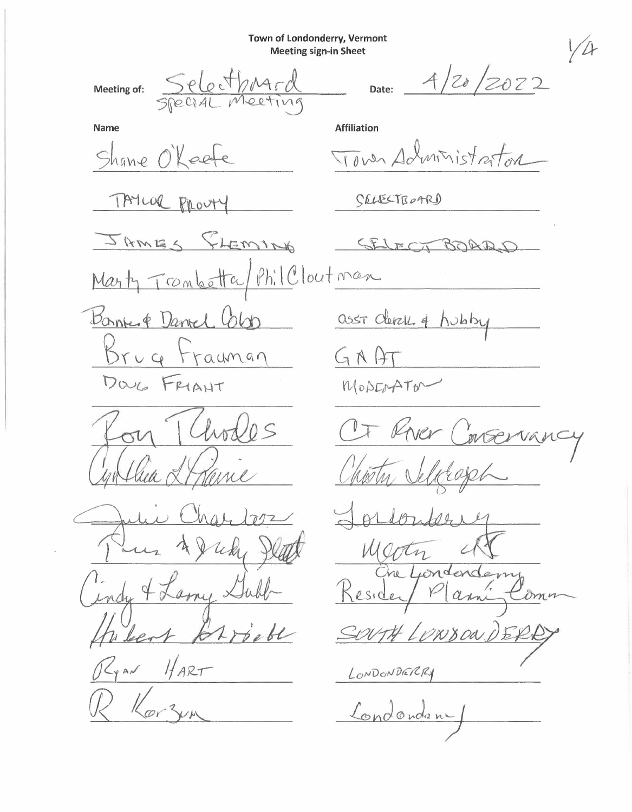Town of Londonderry, Vermont **Meeting sign-in Sheet** 

Meeting of:

Select

20/2022 Date:

**Name** 

Shane O'Keet

Tower Administrator

TAYLOR PROUTY

JAMES FLEMING

SELECTBOARD

**Affiliation** 

 $571$ ECT BOAD

Phil Clout man Marty Tranbetta Banne & Daniel Color

 $Bruq$ Frauman DOUG FRIANT

hodes

 $712$ um amy  $\times$ Ų. indis HART

YAN

asst Clerck of hubby

 $G$   $\wedge$   $A$ 

MODEOTATO

 $\frac{1}{4}$ 

 $MC$ m Kesider anne Com

LONDONDERRY

Londondan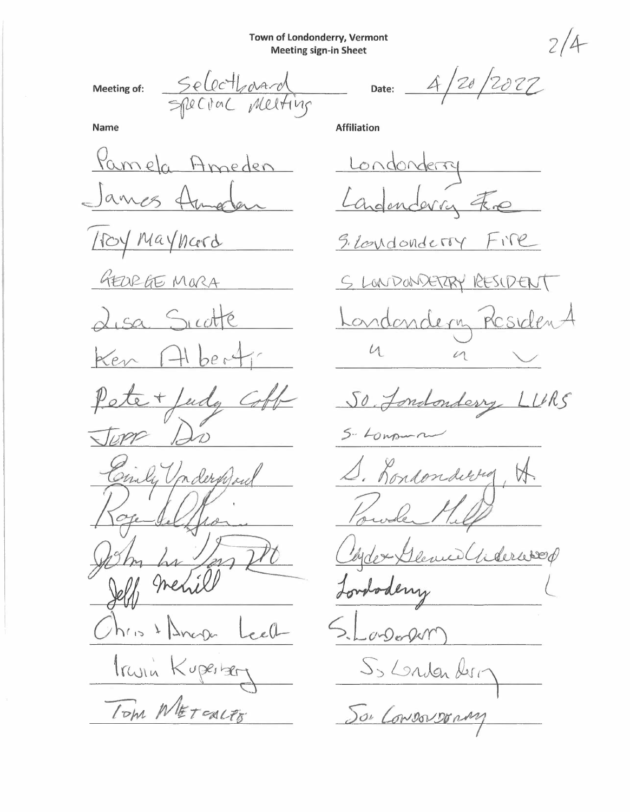**Town of Londonderry, Vermont Meeting sign-in Sheet** 

**Meeting of:** 

**Date:**  4/2JJ */2oz~ r1* 

**Affiliation** 

**Name** 

Meeting of Selecthand<br>Name = FRECTOC Melting<br>Ramela Ameden Lannes Autorina<br>James Autodan La  $\frac{1}{2}$  *<u>R</u>* and *P r* and *P reden*  $1004$  Mayneerd GEORGE MORA isa Sicotte Ken bes ete + fudg  $TDP$ Civily Underproud his  $\lambda$ Truin Kuperber TOM NETOUTE

S. LONDONDETTY FITE *.S tJ . ~~ L U* /1, *<sup>S</sup>* <u>Londondery Residen</u>  $u$ 50 <u>Jondonderry</u><br>5-10 mpm n Rondonderry *I* **Cl}.** swale dex Glenne Giderwood Londoderry onDerform So London deri-Son Convoyvonny

2/4-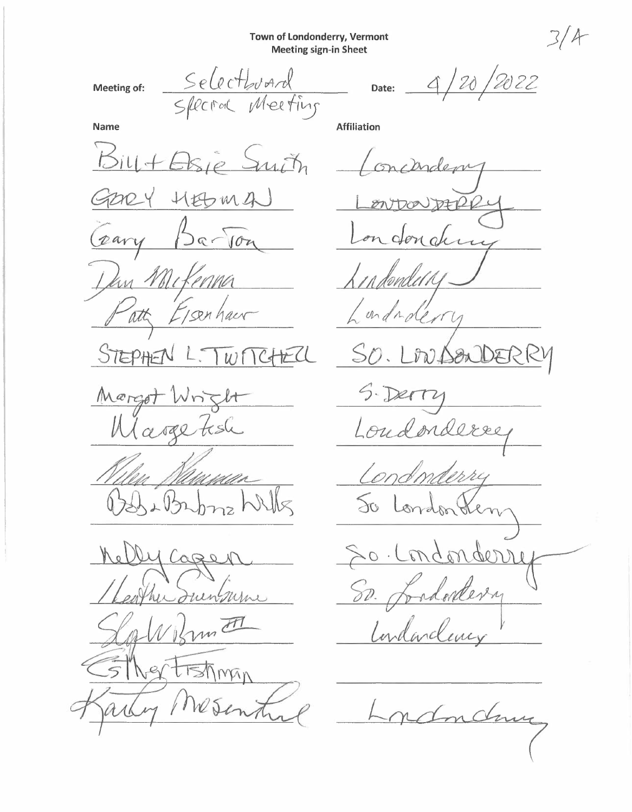Town of Londonderry, Vermont **Meeting sign-in Sheet** 

Meeting of:

Selectburnd Special Meeting

120/2022  $\Delta$ Date:

**Affiliation** 

**Name** 

Bill + Elsie Smith HEDMA  $200$ pary  $5a - 10a$ In Milconna att Isen haur STEPHEN  $C+ECU$  $|w|$ Morgot Wright Margetish Musilla )<br>b/l bnz hr  $152$ Cage unsurne m F tishman  $\sqrt{2}$ 

mcanden on donders in dondel R undra erry  $D257$ Loudonde Condonderry London de  $\infty$ 0. Condonde

 $50.7$ Londontery Indanclever

Indann

 $3/4$